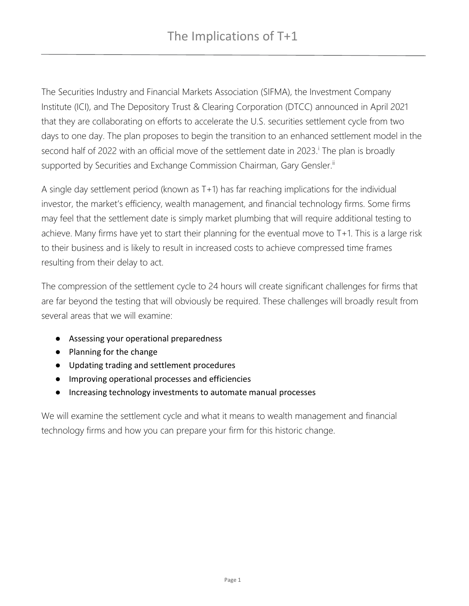The Securities Industry and Financial Markets Association (SIFMA), the Investment Company Institute (ICI), and The Depository Trust & Clearing Corporation (DTCC) announced in April 2021 that they are collaborating on efforts to accelerate the U.S. securities settlement cycle from two days to one day. The plan proposes to begin the transition to an enhanced settlement model in the second half of 2022 with an official move of the settlement date in 2023.<sup>i</sup> The plan is broadly supported by Securities and Exchange Commission Chairman, Gary Gensler.<sup>ii</sup>

A single day settlement period (known as T+1) has far reaching implications for the individual investor, the market's efficiency, wealth management, and financial technology firms. Some firms may feel that the settlement date is simply market plumbing that will require additional testing to achieve. Many firms have yet to start their planning for the eventual move to T+1. This is a large risk to their business and is likely to result in increased costs to achieve compressed time frames resulting from their delay to act.

The compression of the settlement cycle to 24 hours will create significant challenges for firms that are far beyond the testing that will obviously be required. These challenges will broadly result from several areas that we will examine:

- Assessing your operational preparedness
- Planning for the change
- Updating trading and settlement procedures
- Improving operational processes and efficiencies
- Increasing technology investments to automate manual processes

We will examine the settlement cycle and what it means to wealth management and financial technology firms and how you can prepare your firm for this historic change.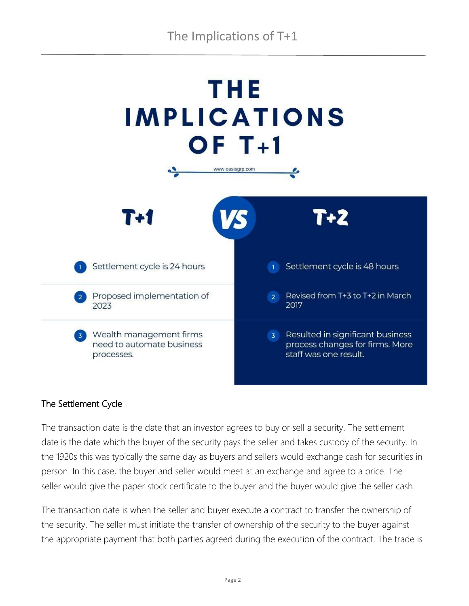

## The Settlement Cycle

The transaction date is the date that an investor agrees to buy or sell a security. The settlement date is the date which the buyer of the security pays the seller and takes custody of the security. In the 1920s this was typically the same day as buyers and sellers would exchange cash for securities in person. In this case, the buyer and seller would meet at an exchange and agree to a price. The seller would give the paper stock certificate to the buyer and the buyer would give the seller cash.

The transaction date is when the seller and buyer execute a contract to transfer the ownership of the security. The seller must initiate the transfer of ownership of the security to the buyer against the appropriate payment that both parties agreed during the execution of the contract. The trade is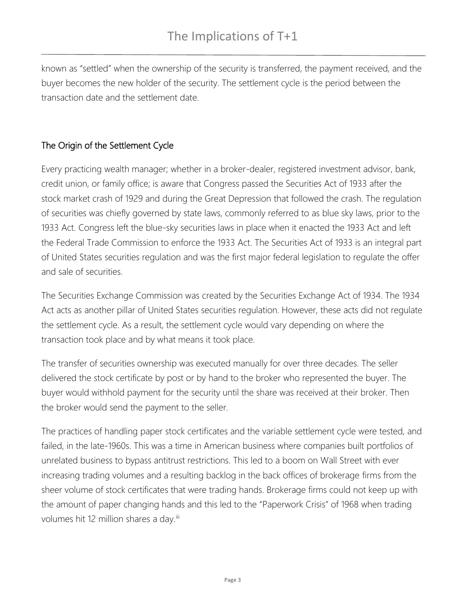known as "settled" when the ownership of the security is transferred, the payment received, and the buyer becomes the new holder of the security. The settlement cycle is the period between the transaction date and the settlement date.

#### The Origin of the Settlement Cycle

Every practicing wealth manager; whether in a broker-dealer, registered investment advisor, bank, credit union, or family office; is aware that Congress passed the Securities Act of 1933 after the stock market crash of 1929 and during the Great Depression that followed the crash. The regulation of securities was chiefly governed by state laws, commonly referred to as blue sky laws, prior to the 1933 Act. Congress left the blue-sky securities laws in place when it enacted the 1933 Act and left the Federal Trade Commission to enforce the 1933 Act. The Securities Act of 1933 is an integral part of United States securities regulation and was the first major federal legislation to regulate the offer and sale of securities.

The Securities Exchange Commission was created by the Securities Exchange Act of 1934. The 1934 Act acts as another pillar of United States securities regulation. However, these acts did not regulate the settlement cycle. As a result, the settlement cycle would vary depending on where the transaction took place and by what means it took place.

The transfer of securities ownership was executed manually for over three decades. The seller delivered the stock certificate by post or by hand to the broker who represented the buyer. The buyer would withhold payment for the security until the share was received at their broker. Then the broker would send the payment to the seller.

The practices of handling paper stock certificates and the variable settlement cycle were tested, and failed, in the late-1960s. This was a time in American business where companies built portfolios of unrelated business to bypass antitrust restrictions. This led to a boom on Wall Street with ever increasing trading volumes and a resulting backlog in the back offices of brokerage firms from the sheer volume of stock certificates that were trading hands. Brokerage firms could not keep up with the amount of paper changing hands and this led to the "Paperwork Crisis" of 1968 when trading volumes hit 12 million shares a day.<sup>iii</sup>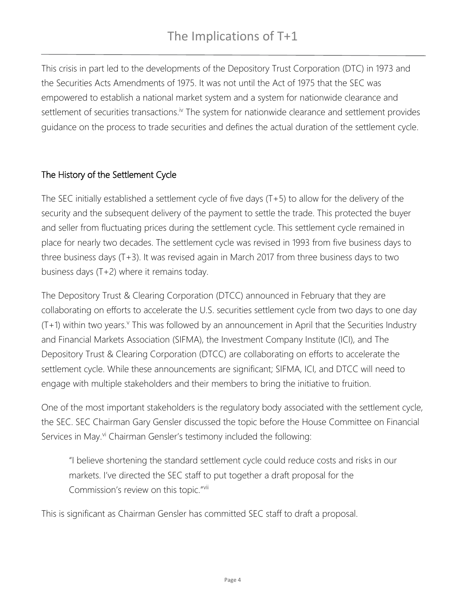This crisis in part led to the developments of the Depository Trust Corporation (DTC) in 1973 and the Securities Acts Amendments of 1975. It was not until the Act of 1975 that the SEC was empowered to establish a national market system and a system for nationwide clearance and settlement of securities transactions.<sup>iv</sup> The system for nationwide clearance and settlement provides guidance on the process to trade securities and defines the actual duration of the settlement cycle.

## The History of the Settlement Cycle

The SEC initially established a settlement cycle of five days (T+5) to allow for the delivery of the security and the subsequent delivery of the payment to settle the trade. This protected the buyer and seller from fluctuating prices during the settlement cycle. This settlement cycle remained in place for nearly two decades. The settlement cycle was revised in 1993 from five business days to three business days (T+3). It was revised again in March 2017 from three business days to two business days (T+2) where it remains today.

The Depository Trust & Clearing Corporation (DTCC) announced in February that they are collaborating on efforts to accelerate the U.S. securities settlement cycle from two days to one day  $(T+1)$  within two years.<sup>v</sup> This was followed by an announcement in April that the Securities Industry and Financial Markets Association (SIFMA), the Investment Company Institute (ICI), and The Depository Trust & Clearing Corporation (DTCC) are collaborating on efforts to accelerate the settlement cycle. While these announcements are significant; SIFMA, ICI, and DTCC will need to engage with multiple stakeholders and their members to bring the initiative to fruition.

One of the most important stakeholders is the regulatory body associated with the settlement cycle, the SEC. SEC Chairman Gary Gensler discussed the topic before the House Committee on Financial Services in May.<sup>vi</sup> Chairman Gensler's testimony included the following:

"I believe shortening the standard settlement cycle could reduce costs and risks in our markets. I've directed the SEC staff to put together a draft proposal for the Commission's review on this topic."vii

This is significant as Chairman Gensler has committed SEC staff to draft a proposal.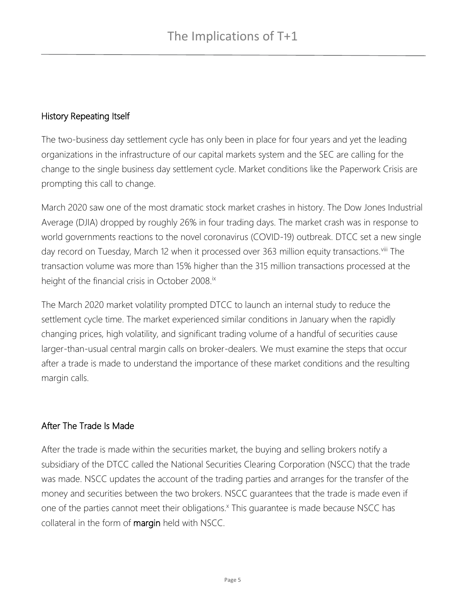## History Repeating Itself

The two-business day settlement cycle has only been in place for four years and yet the leading organizations in the infrastructure of our capital markets system and the SEC are calling for the change to the single business day settlement cycle. Market conditions like the Paperwork Crisis are prompting this call to change.

March 2020 saw one of the most dramatic stock market crashes in history. The Dow Jones Industrial Average (DJIA) dropped by roughly 26% in four trading days. The market crash was in response to world governments reactions to the novel coronavirus (COVID-19) outbreak. DTCC set a new single day record on Tuesday, March 12 when it processed over 363 million equity transactions. Vill The transaction volume was more than 15% higher than the 315 million transactions processed at the height of the financial crisis in October 2008.<sup>ix</sup>

The March 2020 market volatility prompted DTCC to launch an internal study to reduce the settlement cycle time. The market experienced similar conditions in January when the rapidly changing prices, high volatility, and significant trading volume of a handful of securities cause larger-than-usual central margin calls on broker-dealers. We must examine the steps that occur after a trade is made to understand the importance of these market conditions and the resulting margin calls.

## After The Trade Is Made

After the trade is made within the securities market, the buying and selling brokers notify a subsidiary of the DTCC called the National Securities Clearing Corporation (NSCC) that the trade was made. NSCC updates the account of the trading parties and arranges for the transfer of the money and securities between the two brokers. NSCC guarantees that the trade is made even if one of the parties cannot meet their obligations.<sup>x</sup> This guarantee is made because NSCC has collateral in the form of margin held with NSCC.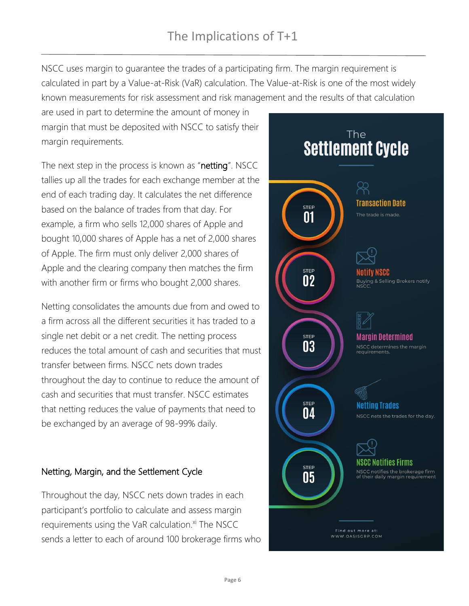NSCC uses margin to guarantee the trades of a participating firm. The margin requirement is calculated in part by a Value-at-Risk (VaR) calculation. The Value-at-Risk is one of the most widely known measurements for risk assessment and risk management and the results of that calculation

are used in part to determine the amount of money in margin that must be deposited with NSCC to satisfy their margin requirements.

The next step in the process is known as "netting". NSCC tallies up all the trades for each exchange member at the end of each trading day. It calculates the net difference based on the balance of trades from that day. For example, a firm who sells 12,000 shares of Apple and bought 10,000 shares of Apple has a net of 2,000 shares of Apple. The firm must only deliver 2,000 shares of Apple and the clearing company then matches the firm with another firm or firms who bought 2,000 shares.

Netting consolidates the amounts due from and owed to a firm across all the different securities it has traded to a single net debit or a net credit. The netting process reduces the total amount of cash and securities that must transfer between firms. NSCC nets down trades throughout the day to continue to reduce the amount of cash and securities that must transfer. NSCC estimates that netting reduces the value of payments that need to be exchanged by an average of 98-99% daily.

## Netting, Margin, and the Settlement Cycle

Throughout the day, NSCC nets down trades in each participant's portfolio to calculate and assess margin requirements using the VaR calculation.<sup>xi</sup> The NSCC sends a letter to each of around 100 brokerage firms who

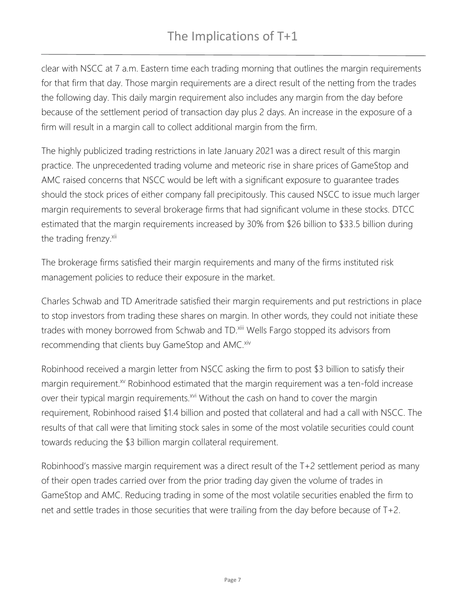clear with NSCC at 7 a.m. Eastern time each trading morning that outlines the margin requirements for that firm that day. Those margin requirements are a direct result of the netting from the trades the following day. This daily margin requirement also includes any margin from the day before because of the settlement period of transaction day plus 2 days. An increase in the exposure of a firm will result in a margin call to collect additional margin from the firm.

The highly publicized trading restrictions in late January 2021 was a direct result of this margin practice. The unprecedented trading volume and meteoric rise in share prices of GameStop and AMC raised concerns that NSCC would be left with a significant exposure to guarantee trades should the stock prices of either company fall precipitously. This caused NSCC to issue much larger margin requirements to several brokerage firms that had significant volume in these stocks. DTCC estimated that the margin requirements increased by 30% from \$26 billion to \$33.5 billion during the trading frenzy.<sup>xii</sup>

The brokerage firms satisfied their margin requirements and many of the firms instituted risk management policies to reduce their exposure in the market.

Charles Schwab and TD Ameritrade satisfied their margin requirements and put restrictions in place to stop investors from trading these shares on margin. In other words, they could not initiate these trades with money borrowed from Schwab and TD.<sup>xiii</sup> Wells Fargo stopped its advisors from recommending that clients buy GameStop and AMC.<sup>xiv</sup>

Robinhood received a margin letter from NSCC asking the firm to post \$3 billion to satisfy their margin requirement.<sup>xv</sup> Robinhood estimated that the margin requirement was a ten-fold increase over their typical margin requirements.<sup>xvi</sup> Without the cash on hand to cover the margin requirement, Robinhood raised \$1.4 billion and posted that collateral and had a call with NSCC. The results of that call were that limiting stock sales in some of the most volatile securities could count towards reducing the \$3 billion margin collateral requirement.

Robinhood's massive margin requirement was a direct result of the T+2 settlement period as many of their open trades carried over from the prior trading day given the volume of trades in GameStop and AMC. Reducing trading in some of the most volatile securities enabled the firm to net and settle trades in those securities that were trailing from the day before because of T+2.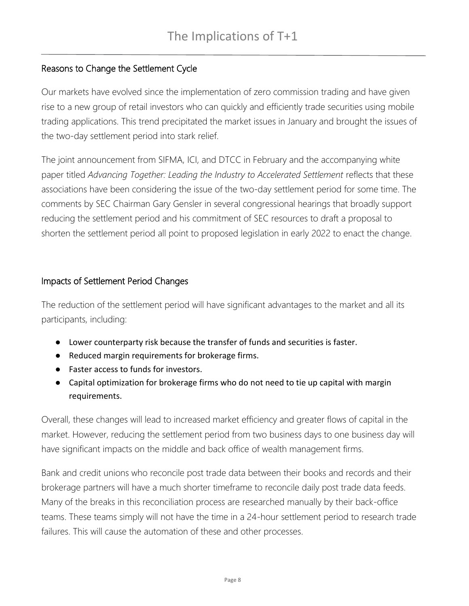# Reasons to Change the Settlement Cycle

Our markets have evolved since the implementation of zero commission trading and have given rise to a new group of retail investors who can quickly and efficiently trade securities using mobile trading applications. This trend precipitated the market issues in January and brought the issues of the two-day settlement period into stark relief.

The joint announcement from SIFMA, ICI, and DTCC in February and the accompanying white paper titled *Advancing Together: Leading the Industry to Accelerated Settlement* reflects that these associations have been considering the issue of the two-day settlement period for some time. The comments by SEC Chairman Gary Gensler in several congressional hearings that broadly support reducing the settlement period and his commitment of SEC resources to draft a proposal to shorten the settlement period all point to proposed legislation in early 2022 to enact the change.

#### Impacts of Settlement Period Changes

The reduction of the settlement period will have significant advantages to the market and all its participants, including:

- Lower counterparty risk because the transfer of funds and securities is faster.
- Reduced margin requirements for brokerage firms.
- Faster access to funds for investors.
- Capital optimization for brokerage firms who do not need to tie up capital with margin requirements.

Overall, these changes will lead to increased market efficiency and greater flows of capital in the market. However, reducing the settlement period from two business days to one business day will have significant impacts on the middle and back office of wealth management firms.

Bank and credit unions who reconcile post trade data between their books and records and their brokerage partners will have a much shorter timeframe to reconcile daily post trade data feeds. Many of the breaks in this reconciliation process are researched manually by their back-office teams. These teams simply will not have the time in a 24-hour settlement period to research trade failures. This will cause the automation of these and other processes.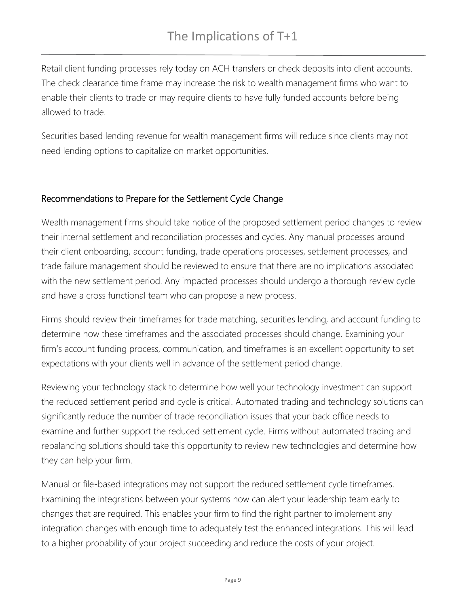Retail client funding processes rely today on ACH transfers or check deposits into client accounts. The check clearance time frame may increase the risk to wealth management firms who want to enable their clients to trade or may require clients to have fully funded accounts before being allowed to trade.

Securities based lending revenue for wealth management firms will reduce since clients may not need lending options to capitalize on market opportunities.

#### Recommendations to Prepare for the Settlement Cycle Change

Wealth management firms should take notice of the proposed settlement period changes to review their internal settlement and reconciliation processes and cycles. Any manual processes around their client onboarding, account funding, trade operations processes, settlement processes, and trade failure management should be reviewed to ensure that there are no implications associated with the new settlement period. Any impacted processes should undergo a thorough review cycle and have a cross functional team who can propose a new process.

Firms should review their timeframes for trade matching, securities lending, and account funding to determine how these timeframes and the associated processes should change. Examining your firm's account funding process, communication, and timeframes is an excellent opportunity to set expectations with your clients well in advance of the settlement period change.

Reviewing your technology stack to determine how well your technology investment can support the reduced settlement period and cycle is critical. Automated trading and technology solutions can significantly reduce the number of trade reconciliation issues that your back office needs to examine and further support the reduced settlement cycle. Firms without automated trading and rebalancing solutions should take this opportunity to review new technologies and determine how they can help your firm.

Manual or file-based integrations may not support the reduced settlement cycle timeframes. Examining the integrations between your systems now can alert your leadership team early to changes that are required. This enables your firm to find the right partner to implement any integration changes with enough time to adequately test the enhanced integrations. This will lead to a higher probability of your project succeeding and reduce the costs of your project.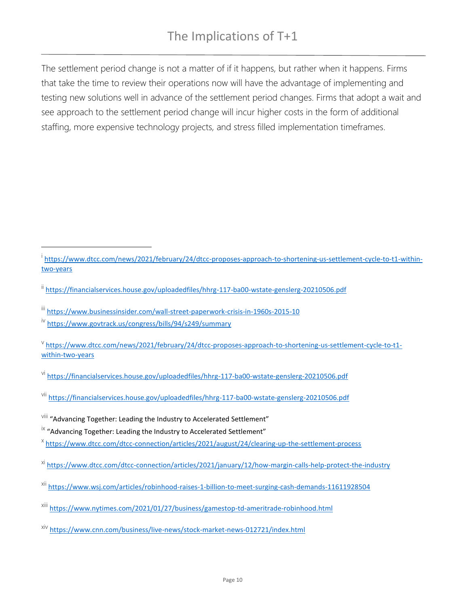The settlement period change is not a matter of if it happens, but rather when it happens. Firms that take the time to review their operations now will have the advantage of implementing and testing new solutions well in advance of the settlement period changes. Firms that adopt a wait and see approach to the settlement period change will incur higher costs in the form of additional staffing, more expensive technology projects, and stress filled implementation timeframes.

- ii <https://financialservices.house.gov/uploadedfiles/hhrg-117-ba00-wstate-genslerg-20210506.pdf>
- iii <https://www.businessinsider.com/wall-street-paperwork-crisis-in-1960s-2015-10>
- iv <https://www.govtrack.us/congress/bills/94/s249/summary>

v<br>[https://www.dtcc.com/news/2021/february/24/dtcc-proposes-approach-to-shortening-us-settlement-cycle-to-t1](https://www.dtcc.com/news/2021/february/24/dtcc-proposes-approach-to-shortening-us-settlement-cycle-to-t1-within-two-years) [within-two-years](https://www.dtcc.com/news/2021/february/24/dtcc-proposes-approach-to-shortening-us-settlement-cycle-to-t1-within-two-years)

vi <https://financialservices.house.gov/uploadedfiles/hhrg-117-ba00-wstate-genslerg-20210506.pdf>

vii <https://financialservices.house.gov/uploadedfiles/hhrg-117-ba00-wstate-genslerg-20210506.pdf>

i<br>[https://www.dtcc.com/news/2021/february/24/dtcc-proposes-approach-to-shortening-us-settlement-cycle-to-t1-within](https://www.dtcc.com/news/2021/february/24/dtcc-proposes-approach-to-shortening-us-settlement-cycle-to-t1-within-two-years)[two-years](https://www.dtcc.com/news/2021/february/24/dtcc-proposes-approach-to-shortening-us-settlement-cycle-to-t1-within-two-years)

viii "Advancing Together: Leading the Industry to Accelerated Settlement"

 $\frac{1}{x}$  "Advancing Together: Leading the Industry to Accelerated Settlement"

x <https://www.dtcc.com/dtcc-connection/articles/2021/august/24/clearing-up-the-settlement-process>

xi <https://www.dtcc.com/dtcc-connection/articles/2021/january/12/how-margin-calls-help-protect-the-industry>

xii <https://www.wsj.com/articles/robinhood-raises-1-billion-to-meet-surging-cash-demands-11611928504>

xiii <https://www.nytimes.com/2021/01/27/business/gamestop-td-ameritrade-robinhood.html>

xiv <https://www.cnn.com/business/live-news/stock-market-news-012721/index.html>